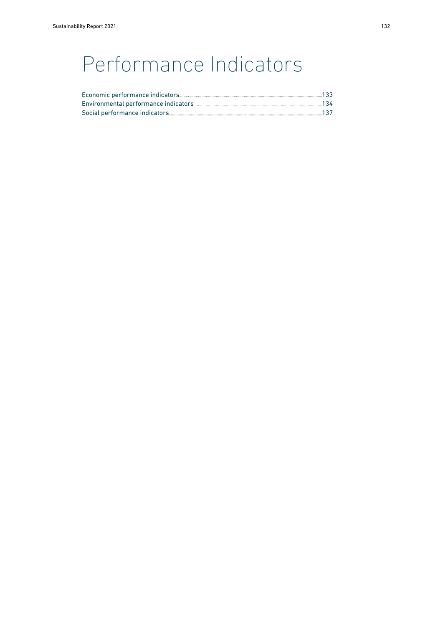## Performance Indicators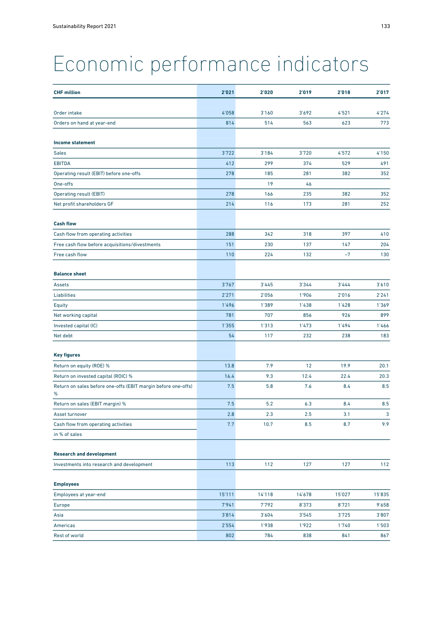## <span id="page-1-0"></span>Economic performance indicators

| Order intake<br>4'058<br>3'160<br>3'692<br>4'521<br>4'274<br>773<br>814<br>514<br>563<br>623<br>Orders on hand at year-end<br><b>Income statement</b><br>3'722<br>3'184<br>3'720<br>4'572<br>4'150<br><b>Sales</b><br><b>EBITDA</b><br>412<br>299<br>374<br>529<br>491<br>Operating result (EBIT) before one-offs<br>278<br>281<br>382<br>352<br>185<br>19<br>46<br>One-offs<br><b>Operating result (EBIT)</b><br>278<br>166<br>235<br>382<br>352<br>173<br>Net profit shareholders GF<br>214<br>116<br>281<br>252<br><b>Cash flow</b><br>Cash flow from operating activities<br>288<br>342<br>318<br>397<br>410<br>Free cash flow before acquisitions/divestments<br>151<br>230<br>137<br>147<br>204<br>110<br>224<br>132<br>$-7$<br>130<br>Free cash flow<br><b>Balance sheet</b><br>3'767<br>3'445<br>3'344<br>3'444<br>3'610<br>Assets<br>2'271<br>2'056<br>1'906<br>2'016<br>2'241<br><b>Liabilities</b><br>1'496<br>1'389<br>1'438<br>1'428<br>1'369<br>Equity<br>Net working capital<br>781<br>707<br>856<br>926<br>899<br>1'355<br>1'313<br>1'473<br>1'494<br>1'466<br>Invested capital (IC)<br>54<br>117<br>232<br>238<br>183<br>Net debt<br><b>Key figures</b><br>7.9<br>12<br>19.9<br>Return on equity (ROE) %<br>13.8<br>20.1<br>Return on invested capital (ROIC) %<br>16.4<br>9.3<br>12.4<br>22.4<br>20.3<br>Return on sales before one-offs (EBIT margin before one-offs)<br>7.5<br>5.8<br>7.6<br>8.4<br>8.5<br>%<br>Return on sales (EBIT margin) %<br>7.5<br>5.2<br>6.3<br>8.4<br>8.5<br>3<br>2.8<br>2.3<br>2.5<br>3.1<br>Asset turnover<br>9.9<br>Cash flow from operating activities<br>7.7<br>10.7<br>8.5<br>8.7<br>in % of sales<br><b>Research and development</b><br>112<br>Investments into research and development<br>113<br>127<br>127<br>112<br><b>Employees</b><br>15'111<br>14'118<br>14'678<br>15'027<br>15'835<br>Employees at year-end<br>7'941<br>7'792<br>8'373<br>8'721<br>9'658<br><b>Europe</b><br>3'814<br>3'604<br>3'545<br>3'725<br>3'807<br>Asia<br>1'938<br>Americas<br>2'554<br>1'922<br>1'740<br>1'503 | <b>CHF million</b> | 2'021 | 2'020 | 2'019 | 2'018 | 2'017 |
|-----------------------------------------------------------------------------------------------------------------------------------------------------------------------------------------------------------------------------------------------------------------------------------------------------------------------------------------------------------------------------------------------------------------------------------------------------------------------------------------------------------------------------------------------------------------------------------------------------------------------------------------------------------------------------------------------------------------------------------------------------------------------------------------------------------------------------------------------------------------------------------------------------------------------------------------------------------------------------------------------------------------------------------------------------------------------------------------------------------------------------------------------------------------------------------------------------------------------------------------------------------------------------------------------------------------------------------------------------------------------------------------------------------------------------------------------------------------------------------------------------------------------------------------------------------------------------------------------------------------------------------------------------------------------------------------------------------------------------------------------------------------------------------------------------------------------------------------------------------------------------------------------------------------------------------------------------------------------------------------------------------------------------------------------------|--------------------|-------|-------|-------|-------|-------|
|                                                                                                                                                                                                                                                                                                                                                                                                                                                                                                                                                                                                                                                                                                                                                                                                                                                                                                                                                                                                                                                                                                                                                                                                                                                                                                                                                                                                                                                                                                                                                                                                                                                                                                                                                                                                                                                                                                                                                                                                                                                     |                    |       |       |       |       |       |
|                                                                                                                                                                                                                                                                                                                                                                                                                                                                                                                                                                                                                                                                                                                                                                                                                                                                                                                                                                                                                                                                                                                                                                                                                                                                                                                                                                                                                                                                                                                                                                                                                                                                                                                                                                                                                                                                                                                                                                                                                                                     |                    |       |       |       |       |       |
|                                                                                                                                                                                                                                                                                                                                                                                                                                                                                                                                                                                                                                                                                                                                                                                                                                                                                                                                                                                                                                                                                                                                                                                                                                                                                                                                                                                                                                                                                                                                                                                                                                                                                                                                                                                                                                                                                                                                                                                                                                                     |                    |       |       |       |       |       |
|                                                                                                                                                                                                                                                                                                                                                                                                                                                                                                                                                                                                                                                                                                                                                                                                                                                                                                                                                                                                                                                                                                                                                                                                                                                                                                                                                                                                                                                                                                                                                                                                                                                                                                                                                                                                                                                                                                                                                                                                                                                     |                    |       |       |       |       |       |
|                                                                                                                                                                                                                                                                                                                                                                                                                                                                                                                                                                                                                                                                                                                                                                                                                                                                                                                                                                                                                                                                                                                                                                                                                                                                                                                                                                                                                                                                                                                                                                                                                                                                                                                                                                                                                                                                                                                                                                                                                                                     |                    |       |       |       |       |       |
|                                                                                                                                                                                                                                                                                                                                                                                                                                                                                                                                                                                                                                                                                                                                                                                                                                                                                                                                                                                                                                                                                                                                                                                                                                                                                                                                                                                                                                                                                                                                                                                                                                                                                                                                                                                                                                                                                                                                                                                                                                                     |                    |       |       |       |       |       |
|                                                                                                                                                                                                                                                                                                                                                                                                                                                                                                                                                                                                                                                                                                                                                                                                                                                                                                                                                                                                                                                                                                                                                                                                                                                                                                                                                                                                                                                                                                                                                                                                                                                                                                                                                                                                                                                                                                                                                                                                                                                     |                    |       |       |       |       |       |
|                                                                                                                                                                                                                                                                                                                                                                                                                                                                                                                                                                                                                                                                                                                                                                                                                                                                                                                                                                                                                                                                                                                                                                                                                                                                                                                                                                                                                                                                                                                                                                                                                                                                                                                                                                                                                                                                                                                                                                                                                                                     |                    |       |       |       |       |       |
|                                                                                                                                                                                                                                                                                                                                                                                                                                                                                                                                                                                                                                                                                                                                                                                                                                                                                                                                                                                                                                                                                                                                                                                                                                                                                                                                                                                                                                                                                                                                                                                                                                                                                                                                                                                                                                                                                                                                                                                                                                                     |                    |       |       |       |       |       |
|                                                                                                                                                                                                                                                                                                                                                                                                                                                                                                                                                                                                                                                                                                                                                                                                                                                                                                                                                                                                                                                                                                                                                                                                                                                                                                                                                                                                                                                                                                                                                                                                                                                                                                                                                                                                                                                                                                                                                                                                                                                     |                    |       |       |       |       |       |
|                                                                                                                                                                                                                                                                                                                                                                                                                                                                                                                                                                                                                                                                                                                                                                                                                                                                                                                                                                                                                                                                                                                                                                                                                                                                                                                                                                                                                                                                                                                                                                                                                                                                                                                                                                                                                                                                                                                                                                                                                                                     |                    |       |       |       |       |       |
|                                                                                                                                                                                                                                                                                                                                                                                                                                                                                                                                                                                                                                                                                                                                                                                                                                                                                                                                                                                                                                                                                                                                                                                                                                                                                                                                                                                                                                                                                                                                                                                                                                                                                                                                                                                                                                                                                                                                                                                                                                                     |                    |       |       |       |       |       |
|                                                                                                                                                                                                                                                                                                                                                                                                                                                                                                                                                                                                                                                                                                                                                                                                                                                                                                                                                                                                                                                                                                                                                                                                                                                                                                                                                                                                                                                                                                                                                                                                                                                                                                                                                                                                                                                                                                                                                                                                                                                     |                    |       |       |       |       |       |
|                                                                                                                                                                                                                                                                                                                                                                                                                                                                                                                                                                                                                                                                                                                                                                                                                                                                                                                                                                                                                                                                                                                                                                                                                                                                                                                                                                                                                                                                                                                                                                                                                                                                                                                                                                                                                                                                                                                                                                                                                                                     |                    |       |       |       |       |       |
|                                                                                                                                                                                                                                                                                                                                                                                                                                                                                                                                                                                                                                                                                                                                                                                                                                                                                                                                                                                                                                                                                                                                                                                                                                                                                                                                                                                                                                                                                                                                                                                                                                                                                                                                                                                                                                                                                                                                                                                                                                                     |                    |       |       |       |       |       |
|                                                                                                                                                                                                                                                                                                                                                                                                                                                                                                                                                                                                                                                                                                                                                                                                                                                                                                                                                                                                                                                                                                                                                                                                                                                                                                                                                                                                                                                                                                                                                                                                                                                                                                                                                                                                                                                                                                                                                                                                                                                     |                    |       |       |       |       |       |
|                                                                                                                                                                                                                                                                                                                                                                                                                                                                                                                                                                                                                                                                                                                                                                                                                                                                                                                                                                                                                                                                                                                                                                                                                                                                                                                                                                                                                                                                                                                                                                                                                                                                                                                                                                                                                                                                                                                                                                                                                                                     |                    |       |       |       |       |       |
|                                                                                                                                                                                                                                                                                                                                                                                                                                                                                                                                                                                                                                                                                                                                                                                                                                                                                                                                                                                                                                                                                                                                                                                                                                                                                                                                                                                                                                                                                                                                                                                                                                                                                                                                                                                                                                                                                                                                                                                                                                                     |                    |       |       |       |       |       |
|                                                                                                                                                                                                                                                                                                                                                                                                                                                                                                                                                                                                                                                                                                                                                                                                                                                                                                                                                                                                                                                                                                                                                                                                                                                                                                                                                                                                                                                                                                                                                                                                                                                                                                                                                                                                                                                                                                                                                                                                                                                     |                    |       |       |       |       |       |
|                                                                                                                                                                                                                                                                                                                                                                                                                                                                                                                                                                                                                                                                                                                                                                                                                                                                                                                                                                                                                                                                                                                                                                                                                                                                                                                                                                                                                                                                                                                                                                                                                                                                                                                                                                                                                                                                                                                                                                                                                                                     |                    |       |       |       |       |       |
|                                                                                                                                                                                                                                                                                                                                                                                                                                                                                                                                                                                                                                                                                                                                                                                                                                                                                                                                                                                                                                                                                                                                                                                                                                                                                                                                                                                                                                                                                                                                                                                                                                                                                                                                                                                                                                                                                                                                                                                                                                                     |                    |       |       |       |       |       |
|                                                                                                                                                                                                                                                                                                                                                                                                                                                                                                                                                                                                                                                                                                                                                                                                                                                                                                                                                                                                                                                                                                                                                                                                                                                                                                                                                                                                                                                                                                                                                                                                                                                                                                                                                                                                                                                                                                                                                                                                                                                     |                    |       |       |       |       |       |
|                                                                                                                                                                                                                                                                                                                                                                                                                                                                                                                                                                                                                                                                                                                                                                                                                                                                                                                                                                                                                                                                                                                                                                                                                                                                                                                                                                                                                                                                                                                                                                                                                                                                                                                                                                                                                                                                                                                                                                                                                                                     |                    |       |       |       |       |       |
|                                                                                                                                                                                                                                                                                                                                                                                                                                                                                                                                                                                                                                                                                                                                                                                                                                                                                                                                                                                                                                                                                                                                                                                                                                                                                                                                                                                                                                                                                                                                                                                                                                                                                                                                                                                                                                                                                                                                                                                                                                                     |                    |       |       |       |       |       |
|                                                                                                                                                                                                                                                                                                                                                                                                                                                                                                                                                                                                                                                                                                                                                                                                                                                                                                                                                                                                                                                                                                                                                                                                                                                                                                                                                                                                                                                                                                                                                                                                                                                                                                                                                                                                                                                                                                                                                                                                                                                     |                    |       |       |       |       |       |
|                                                                                                                                                                                                                                                                                                                                                                                                                                                                                                                                                                                                                                                                                                                                                                                                                                                                                                                                                                                                                                                                                                                                                                                                                                                                                                                                                                                                                                                                                                                                                                                                                                                                                                                                                                                                                                                                                                                                                                                                                                                     |                    |       |       |       |       |       |
|                                                                                                                                                                                                                                                                                                                                                                                                                                                                                                                                                                                                                                                                                                                                                                                                                                                                                                                                                                                                                                                                                                                                                                                                                                                                                                                                                                                                                                                                                                                                                                                                                                                                                                                                                                                                                                                                                                                                                                                                                                                     |                    |       |       |       |       |       |
|                                                                                                                                                                                                                                                                                                                                                                                                                                                                                                                                                                                                                                                                                                                                                                                                                                                                                                                                                                                                                                                                                                                                                                                                                                                                                                                                                                                                                                                                                                                                                                                                                                                                                                                                                                                                                                                                                                                                                                                                                                                     |                    |       |       |       |       |       |
|                                                                                                                                                                                                                                                                                                                                                                                                                                                                                                                                                                                                                                                                                                                                                                                                                                                                                                                                                                                                                                                                                                                                                                                                                                                                                                                                                                                                                                                                                                                                                                                                                                                                                                                                                                                                                                                                                                                                                                                                                                                     |                    |       |       |       |       |       |
|                                                                                                                                                                                                                                                                                                                                                                                                                                                                                                                                                                                                                                                                                                                                                                                                                                                                                                                                                                                                                                                                                                                                                                                                                                                                                                                                                                                                                                                                                                                                                                                                                                                                                                                                                                                                                                                                                                                                                                                                                                                     |                    |       |       |       |       |       |
|                                                                                                                                                                                                                                                                                                                                                                                                                                                                                                                                                                                                                                                                                                                                                                                                                                                                                                                                                                                                                                                                                                                                                                                                                                                                                                                                                                                                                                                                                                                                                                                                                                                                                                                                                                                                                                                                                                                                                                                                                                                     |                    |       |       |       |       |       |
|                                                                                                                                                                                                                                                                                                                                                                                                                                                                                                                                                                                                                                                                                                                                                                                                                                                                                                                                                                                                                                                                                                                                                                                                                                                                                                                                                                                                                                                                                                                                                                                                                                                                                                                                                                                                                                                                                                                                                                                                                                                     |                    |       |       |       |       |       |
|                                                                                                                                                                                                                                                                                                                                                                                                                                                                                                                                                                                                                                                                                                                                                                                                                                                                                                                                                                                                                                                                                                                                                                                                                                                                                                                                                                                                                                                                                                                                                                                                                                                                                                                                                                                                                                                                                                                                                                                                                                                     |                    |       |       |       |       |       |
|                                                                                                                                                                                                                                                                                                                                                                                                                                                                                                                                                                                                                                                                                                                                                                                                                                                                                                                                                                                                                                                                                                                                                                                                                                                                                                                                                                                                                                                                                                                                                                                                                                                                                                                                                                                                                                                                                                                                                                                                                                                     |                    |       |       |       |       |       |
|                                                                                                                                                                                                                                                                                                                                                                                                                                                                                                                                                                                                                                                                                                                                                                                                                                                                                                                                                                                                                                                                                                                                                                                                                                                                                                                                                                                                                                                                                                                                                                                                                                                                                                                                                                                                                                                                                                                                                                                                                                                     |                    |       |       |       |       |       |
|                                                                                                                                                                                                                                                                                                                                                                                                                                                                                                                                                                                                                                                                                                                                                                                                                                                                                                                                                                                                                                                                                                                                                                                                                                                                                                                                                                                                                                                                                                                                                                                                                                                                                                                                                                                                                                                                                                                                                                                                                                                     |                    |       |       |       |       |       |
|                                                                                                                                                                                                                                                                                                                                                                                                                                                                                                                                                                                                                                                                                                                                                                                                                                                                                                                                                                                                                                                                                                                                                                                                                                                                                                                                                                                                                                                                                                                                                                                                                                                                                                                                                                                                                                                                                                                                                                                                                                                     |                    |       |       |       |       |       |
|                                                                                                                                                                                                                                                                                                                                                                                                                                                                                                                                                                                                                                                                                                                                                                                                                                                                                                                                                                                                                                                                                                                                                                                                                                                                                                                                                                                                                                                                                                                                                                                                                                                                                                                                                                                                                                                                                                                                                                                                                                                     |                    |       |       |       |       |       |
|                                                                                                                                                                                                                                                                                                                                                                                                                                                                                                                                                                                                                                                                                                                                                                                                                                                                                                                                                                                                                                                                                                                                                                                                                                                                                                                                                                                                                                                                                                                                                                                                                                                                                                                                                                                                                                                                                                                                                                                                                                                     | Rest of world      | 802   | 784   | 838   | 841   | 867   |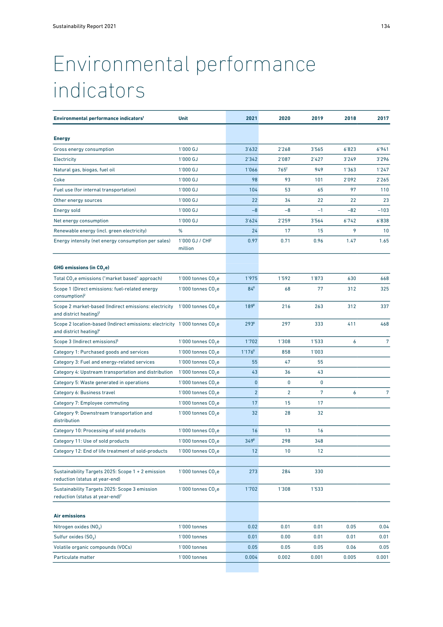## <span id="page-2-0"></span>Environmental performance indicators

| Environmental performance indicators <sup>1</sup>                                                                            | Unit                           | 2021           | 2020           | 2019  | 2018  | 2017   |
|------------------------------------------------------------------------------------------------------------------------------|--------------------------------|----------------|----------------|-------|-------|--------|
| <b>Energy</b>                                                                                                                |                                |                |                |       |       |        |
| Gross energy consumption                                                                                                     | 1'000 GJ                       | 3'632          | 2'268          | 3'565 | 6'823 | 6'941  |
| Electricity                                                                                                                  | $1'000$ GJ                     | 2'342          | 2'087          | 2'427 | 3'249 | 3'296  |
| Natural gas, biogas, fuel oil                                                                                                | 1'000 GJ                       | 1'066          | $765^2$        | 949   | 1'363 | 1'247  |
| Coke                                                                                                                         | 1'000 GJ                       | 98             | 93             | 101   | 2'092 | 2'265  |
| Fuel use (for internal transportation)                                                                                       | 1'000 GJ                       | 104            | 53             | 65    | 97    | 110    |
| Other energy sources                                                                                                         | 1'000 GJ                       | 22             | 34             | 22    | 22    | 23     |
| <b>Energy sold</b>                                                                                                           | $1'000$ GJ                     | $-8$           | $-8$           | $-1$  | $-82$ | $-103$ |
| Net energy consumption                                                                                                       | 1'000 GJ                       | 3'624          | 2'259          | 3'564 | 6'742 | 6'838  |
| Renewable energy (incl. green electricity)                                                                                   | %                              | 24             | 17             | 15    | 9     | 10     |
| Energy intensity (net energy consumption per sales)                                                                          | 1'000 GJ / CHF<br>million      | 0.97           | 0.71           | 0.96  | 1.47  | 1.65   |
| GHG emissions (in $CO2$ e)                                                                                                   |                                |                |                |       |       |        |
| Total CO <sub>2</sub> e emissions ("market based" approach)                                                                  | 1'000 tonnes $CO2$ e           | 1'975          | 1'592          | 1'873 | 630   | 668    |
| Scope 1 (Direct emissions: fuel-related energy<br>consumption) <sup>2</sup>                                                  | 1'000 tonnes $CO2e$            | $84^{8}$       | 68             | 77    | 312   | 325    |
| Scope 2 market-based (Indirect emissions: electricity 1'000 tonnes CO <sub>2</sub> e<br>and district heating) $3$            |                                | $189^{8}$      | 216            | 263   | 312   | 337    |
| Scope 2 location-based (Indirect emissions: electricity 1'000 tonnes CO <sub>2</sub> e<br>and district heating) <sup>4</sup> |                                | $293^8$        | 297            | 333   | 411   | 468    |
| Scope 3 (Indirect emissions) <sup>5</sup>                                                                                    | 1'000 tonnes $CO2e$            | 1'702          | 1'308          | 1'533 | 6     | 7      |
| Category 1: Purchased goods and services                                                                                     | 1'000 tonnes $CO2e$            | $1'176^8$      | 858            | 1'003 |       |        |
| Category 3: Fuel and energy-related services                                                                                 | 1'000 tonnes $CO2e$            | 55             | 47             | 55    |       |        |
| Category 4: Upstream transportation and distribution                                                                         | 1'000 tonnes CO <sub>2</sub> e | 43             | 36             | 43    |       |        |
| Category 5: Waste generated in operations                                                                                    | 1'000 tonnes $CO2e$            | $\mathbf 0$    | 0              | 0     |       |        |
| Category 6: Business travel                                                                                                  | 1'000 tonnes $CO2e$            | $\overline{2}$ | $\overline{2}$ | 7     | 6     | 7      |
| Category 7: Employee commuting                                                                                               | 1'000 tonnes $CO2e$            | 17             | 15             | 17    |       |        |
| Category 9: Downstream transportation and<br>distribution                                                                    | 1'000 tonnes $CO2e$            | 32             | 28             | 32    |       |        |
| Category 10: Processing of sold products                                                                                     | 1'000 tonnes CO <sub>2</sub> e | 16             | 13             | 16    |       |        |
| Category 11: Use of sold products                                                                                            | 1'000 tonnes CO <sub>2</sub> e | $349^{8}$      | 298            | 348   |       |        |
| Category 12: End of life treatment of sold-products                                                                          | 1'000 tonnes $CO2$ e           | 12             | 10             | 12    |       |        |
|                                                                                                                              |                                |                |                |       |       |        |
| Sustainability Targets 2025: Scope 1 + 2 emission<br>reduction (status at year-end)                                          | 1'000 tonnes CO <sub>2</sub> e | 273            | 284            | 330   |       |        |
| Sustainability Targets 2025: Scope 3 emission<br>reduction (status at year-end) <sup>7</sup>                                 | 1'000 tonnes CO <sub>2</sub> e | 1'702          | 1'308          | 1'533 |       |        |
| <b>Air emissions</b>                                                                                                         |                                |                |                |       |       |        |
| Nitrogen oxides $(NOx)$                                                                                                      | 1'000 tonnes                   | 0.02           | 0.01           | 0.01  | 0.05  | 0.04   |
| Sulfur oxides $(SOx)$                                                                                                        | 1'000 tonnes                   | 0.01           | 0.00           | 0.01  | 0.01  | 0.01   |
| Volatile organic compounds (VOCs)                                                                                            | 1'000 tonnes                   | 0.05           | 0.05           | 0.05  | 0.06  | 0.05   |
| Particulate matter                                                                                                           | 1'000 tonnes                   | 0.004          | 0.002          | 0.001 | 0.005 | 0.001  |
|                                                                                                                              |                                |                |                |       |       |        |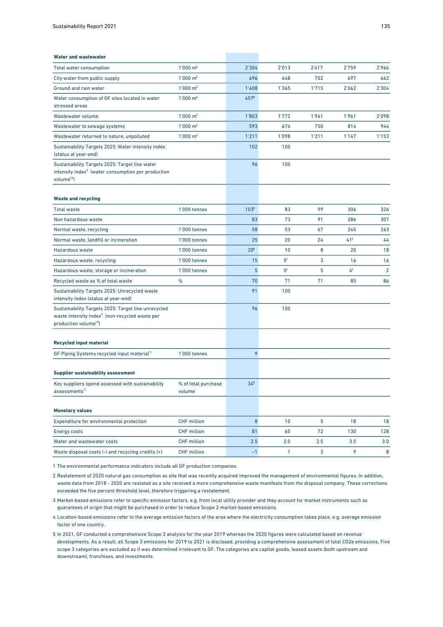| <b>Water and wastewater</b>                                                                                                                            |                               |                 |                |       |          |                |
|--------------------------------------------------------------------------------------------------------------------------------------------------------|-------------------------------|-----------------|----------------|-------|----------|----------------|
| <b>Total water consumption</b>                                                                                                                         | 1'000 m <sup>3</sup>          | 2'304           | 2'013          | 2'417 | 2'759    | 2'966          |
| City water from public supply                                                                                                                          | $1'000 \text{ m}^3$           | 696             | 648            | 702   | 697      | 662            |
| Ground and rain water                                                                                                                                  | 1'000 m <sup>3</sup>          | 1'608           | 1'365          | 1'715 | 2'062    | 2'304          |
| Water consumption of GF sites located in water<br>stressed areas                                                                                       | $1'000 \text{ m}^3$           | $457^8$         |                |       |          |                |
| Wastewater volume                                                                                                                                      | $1'000 \text{ m}^3$           | 1'803           | 1'772          | 1'961 | 1'961    | 2'098          |
| Wastewater to sewage systems                                                                                                                           | 1'000 m <sup>3</sup>          | 593             | 674            | 750   | 814      | 944            |
| Wastewater returned to nature, unpolluted                                                                                                              | 1'000 m <sup>3</sup>          | 1'211           | 1'098          | 1'211 | 1'147    | 1'153          |
| Sustainability Targets 2025: Water intensity index<br>(status at year-end)                                                                             |                               | 102             | 100            |       |          |                |
| Sustainability Targets 2025: Target line water<br>intensity index <sup>9</sup> (water consumption per production<br>volume <sup>10</sup> )             |                               | 96              | 100            |       |          |                |
| <b>Waste and recycling</b>                                                                                                                             |                               |                 |                |       |          |                |
| <b>Total waste</b>                                                                                                                                     | 1'000 tonnes                  | $103^8$         | 83             | 99    | 306      | 326            |
| Non hazardous waste                                                                                                                                    |                               | 83              | 73             | 91    | 286      | 307            |
| Normal waste, recycling                                                                                                                                | 1'000 tonnes                  | 58              | 53             | 67    | 245      | 263            |
| Normal waste, landfill or incineration                                                                                                                 | 1'000 tonnes                  | 25              | 20             | 24    | $41^{2}$ | 44             |
| Hazardous waste                                                                                                                                        | 1'000 tonnes                  | 20 <sup>8</sup> | 10             | 8     | 20       | 18             |
| Hazardous waste, recycling                                                                                                                             | 1'000 tonnes                  | 15              | 5 <sup>2</sup> | 3     | 16       | 16             |
| Hazardous waste, storage or incineration                                                                                                               | 1'000 tonnes                  | $5\phantom{.0}$ | 5 <sup>2</sup> | 5     | $4^2$    | $\overline{2}$ |
| Recycled waste as % of total waste                                                                                                                     | %                             | 70              | 71             | 71    | 85       | 86             |
| Sustainability Targets 2025: Unrecycled waste<br>intensity index (status at year-end)                                                                  |                               | 91              | 100            |       |          |                |
| Sustainability Targets 2025: Target line unrecycled<br>waste intensity index <sup>9</sup> (non-recycled waste per<br>production volume <sup>10</sup> ) |                               | 96              | 100            |       |          |                |
| <b>Recycled input material</b>                                                                                                                         |                               |                 |                |       |          |                |
| GF Piping Systems recycled input material <sup>11</sup>                                                                                                | 1'000 tonnes                  | 9               |                |       |          |                |
| <b>Supplier sustainability assessment</b>                                                                                                              |                               |                 |                |       |          |                |
| Key suppliers spend assessed with sustainability<br>assessments <sup>11</sup>                                                                          | % of total purchase<br>volume | $34^{8}$        |                |       |          |                |
| <b>Monetary values</b>                                                                                                                                 |                               |                 |                |       |          |                |
| Expenditure for environmental protection                                                                                                               | <b>CHF</b> million            | $\overline{8}$  | 10             | 5     | 18       | 18             |
| Energy costs                                                                                                                                           | <b>CHF</b> million            | 81              | 65             | 72    | 130      | 128            |
| Water and wastewater costs                                                                                                                             | <b>CHF</b> million            | 2.5             | 2.0            | 2.5   | 3.5      | 3.0            |
| Waste disposal costs $(-)$ and recycling credits $(+)$                                                                                                 | CHF million                   | $-1$            | $\mathbf{1}$   | 3     | 9        | 8              |

1 The environmental performance indicators include all GF production companies.

2 Restatement of 2020 natural gas consumption as site that was recently acquired improved the management of environmental figures. In addition, waste data from 2018 - 2020 are restated as a site received a more comprehensive waste manifesto from the disposal company. These corrections exceeded the five percent threshold level, therefore triggering a restatement.

3 Market-based emissions refer to specific emission factors, e.g. from local utility provider and they account for market instruments such as guarantees of origin that might be purchased in order to reduce Scope 2 market-based emissions.

- 4 Location-based emissions refer to the average emission factors of the area where the electricity consumption takes place, e.g. average emission factor of one country.
- 5 In 2021, GF conducted a comprehensive Scope 3 analysis for the year 2019 whereas the 2020 figures were calculated based on revenue developments. As a result, all Scope 3 emissions for 2019 to 2021 is disclosed, providing a comprehensive assessment of total CO2e emissions. Five scope 3 categories are excluded as it was determined irrelevant to GF. The categories are capital goods, leased assets (both upstream and downstream), franchises, and investments.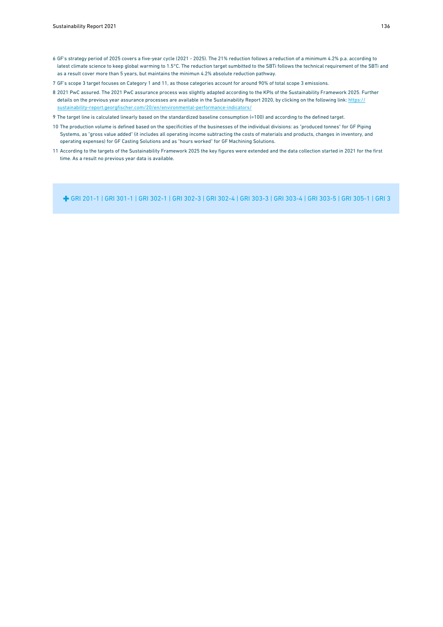- 6 GF's strategy period of 2025 covers a five-year cycle (2021 2025). The 21% reduction follows a reduction of a minimum 4.2% p.a. according to latest climate science to keep global warming to 1.5°C. The reduction target sumbitted to the SBTi follows the technical requirement of the SBTi and as a result cover more than 5 years, but maintains the minimun 4.2% absolute reduction pathway.
- 7 GF's scope 3 target focuses on Category 1 and 11, as those categories account for around 90% of total scope 3 emissions.
- 8 2021 PwC assured. The 2021 PwC assurance process was slightly adapted according to the KPIs of the Sustainability Framework 2025. Further details on the previous year assurance processes are available in the Sustainability Report 2020, by clicking on the following link: [https://](https://sustainability-report.georgfischer.com/20/en/environmental-performance-indicators/) [sustainability-report.georgfischer.com/20/en/environmental-performance-indicators/](https://sustainability-report.georgfischer.com/20/en/environmental-performance-indicators/)
- 9 The target line is calculated linearly based on the standardized baseline consumption (=100) and according to the defined target.
- 10 The production volume is defined based on the specificities of the businesses of the individual divisions: as "produced tonnes" for GF Piping Systems, as "gross value added" (it includes all operating income subtracting the costs of materials and products, changes in inventory, and operating expenses) for GF Casting Solutions and as "hours worked" for GF Machining Solutions.
- 11 According to the targets of the Sustainability Framework 2025 the key figures were extended and the data collection started in 2021 for the first time. As a result no previous year data is available.

[GRI 201-1 | GRI 301-1 | GRI 302-1](#page--1-0) | [GRI 302-3 | GRI 302-4 | GRI 303-3 | GRI 303-4 | GRI 303-5 | GRI 305-1](#page--1-0) | [GRI 305-2 | GRI 305-3 | GRI 305-4 | GRI 305-5 |](#page--1-0)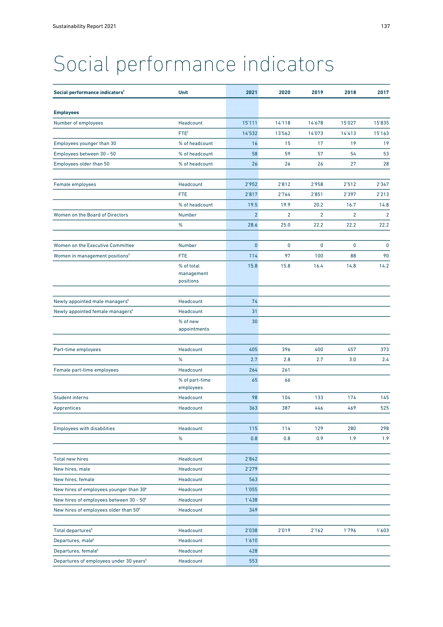## <span id="page-5-0"></span>Social performance indicators

| Social performance indicators <sup>1</sup>          | <b>Unit</b>                 | 2021         | 2020           | 2019           | 2018           | 2017           |
|-----------------------------------------------------|-----------------------------|--------------|----------------|----------------|----------------|----------------|
| <b>Employees</b>                                    |                             |              |                |                |                |                |
| Number of employees                                 | Headcount                   | 15'111       | 14'118         | 14'678         | 15'027         | 15'835         |
|                                                     | FTE <sup>2</sup>            | 14'532       | 13'562         | 14'073         | 14'413         | 15'163         |
| Employees younger than 30                           | % of headcount              | 16           | 15             | 17             | 19             | 19             |
| Employees between 30 - 50                           | % of headcount              | 58           | 59             | 57             | 54             | 53             |
| Employees older than 50                             | % of headcount              | 26           | 26             | 26             | 27             | 28             |
|                                                     |                             |              |                |                |                |                |
| Female employees                                    | Headcount                   | 2'952        | 2'812          | 2'958          | 2'512          | 2'347          |
|                                                     | <b>FTE</b>                  | 2'817        | 2'764          | 2'851          | 2'397          | 2'213          |
|                                                     | % of headcount              | 19.5         | 19.9           | 20.2           | 16.7           | 14.8           |
| Women on the Board of Directors                     | Number                      | $2^{\circ}$  | $\overline{2}$ | $\overline{2}$ | $\overline{2}$ | $\overline{2}$ |
|                                                     | %                           | 28.6         | 25.0           | 22.2           | 22.2           | 22.2           |
|                                                     |                             |              |                |                |                |                |
| Women on the Executive Committee                    | Number                      | $\mathbf{0}$ | 0              | 0              | $\mathbf{0}$   | $\mathbf 0$    |
| Women in management positions <sup>3</sup>          | <b>FTE</b>                  | 114          | 97             | 100            | 88             | 90             |
|                                                     | % of total<br>management    | 15.8         | 15.8           | 16.4           | 14.8           | 14.2           |
|                                                     | positions                   |              |                |                |                |                |
|                                                     | Headcount                   | 74           |                |                |                |                |
| Newly appointed male managers <sup>4</sup>          | Headcount                   | 31           |                |                |                |                |
| Newly appointed female managers <sup>4</sup>        | % of new                    | 30           |                |                |                |                |
|                                                     | appointments                |              |                |                |                |                |
|                                                     |                             |              |                |                |                |                |
| Part-time employees                                 | Headcount                   | 405          | 396            | 400            | 457            | 373            |
|                                                     | %                           | 2.7          | 2.8            | 2.7            | 3.0            | 2.4            |
| Female part-time employees                          | Headcount                   | 264          | 261            |                |                |                |
|                                                     | % of part-time<br>employees | 65           | 66             |                |                |                |
| <b>Student interns</b>                              | Headcount                   | 98           | 104            | 133            | 174            | 145            |
| Apprentices                                         | Headcount                   | 363          | 387            | 446            | 469            | 525            |
| <b>Employees with disabilities</b>                  | Headcount                   | 115          | 114            | 129            | 280            | 298            |
|                                                     | $\%$                        | 0.8          | 0.8            | 0.9            | 1.9            | 1.9            |
|                                                     |                             |              |                |                |                |                |
| <b>Total new hires</b>                              | Headcount                   | 2'842        |                |                |                |                |
| New hires, male                                     | Headcount                   | 2'279        |                |                |                |                |
| New hires, female                                   | Headcount                   | 563          |                |                |                |                |
| New hires of employees younger than 304             | Headcount                   | 1'055        |                |                |                |                |
| New hires of employees between 30 - 504             | Headcount                   | 1'438        |                |                |                |                |
| New hires of employees older than 504               | Headcount                   | 349          |                |                |                |                |
|                                                     |                             |              |                |                |                |                |
| Total departures <sup>5</sup>                       | Headcount                   | 2'038        | 2'019          | 2'162          | 1'796          | 1'603          |
| Departures, male <sup>4</sup>                       | Headcount                   | 1'610        |                |                |                |                |
| Departures, female <sup>4</sup>                     | Headcount                   | 428          |                |                |                |                |
| Departures of employees under 30 years <sup>4</sup> | Headcount                   | 553          |                |                |                |                |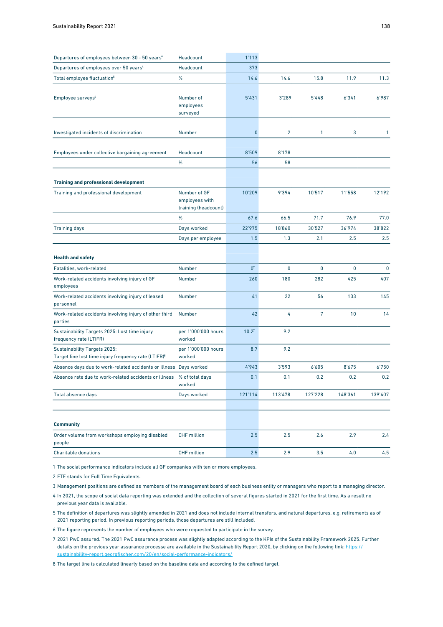| Departures of employees between 30 - 50 years <sup>4</sup>                                              | Headcount                                              | 1'113             |                |                |         |              |
|---------------------------------------------------------------------------------------------------------|--------------------------------------------------------|-------------------|----------------|----------------|---------|--------------|
| Departures of employees over 50 years <sup>4</sup>                                                      | Headcount                                              | 373               |                |                |         |              |
| Total employee fluctuation <sup>5</sup>                                                                 | %                                                      | 14.6              | 14.6           | 15.8           | 11.9    | 11.3         |
| Employee surveys <sup>6</sup>                                                                           | Number of<br>employees<br>surveyed                     | 5'431             | 3'289          | 5'448          | 6'341   | 6'987        |
| Investigated incidents of discrimination                                                                | Number                                                 | $\bf{0}$          | $\overline{2}$ | $\mathbf{1}$   | 3       | $\mathbf{1}$ |
| Employees under collective bargaining agreement                                                         | Headcount<br>$\%$                                      | 8'509<br>56       | 8'178<br>58    |                |         |              |
| <b>Training and professional development</b>                                                            |                                                        |                   |                |                |         |              |
| Training and professional development                                                                   | Number of GF<br>employees with<br>training (headcount) | 10'209            | 9'394          | 10'517         | 11'558  | 12'192       |
|                                                                                                         | %                                                      | 67.6              | 66.5           | 71.7           | 76.9    | 77.0         |
| <b>Training days</b>                                                                                    | Days worked                                            | 22'975            | 18'860         | 30'527         | 36'974  | 38'822       |
|                                                                                                         | Days per employee                                      | 1.5               | 1.3            | 2.1            | 2.5     | 2.5          |
| <b>Health and safety</b>                                                                                |                                                        |                   |                |                |         |              |
| Fatalities, work-related                                                                                | Number                                                 | 0 <sup>7</sup>    | $\mathbf 0$    | 0              | 0       | $\mathbf 0$  |
| Work-related accidents involving injury of GF<br>employees                                              | <b>Number</b>                                          | 260               | 180            | 282            | 425     | 407          |
| Work-related accidents involving injury of leased<br>personnel                                          | Number                                                 | 41                | 22             | 56             | 133     | 145          |
| Work-related accidents involving injury of other third<br>parties                                       | Number                                                 | 42                | 4              | $\overline{7}$ | 10      | 14           |
| Sustainability Targets 2025: Lost time injury<br>frequency rate (LTIFR)                                 | per 1'000'000 hours<br>worked                          | 10.2 <sup>7</sup> | 9.2            |                |         |              |
| <b>Sustainability Targets 2025:</b><br>Target line lost time injury frequency rate (LTIFR) <sup>8</sup> | per 1'000'000 hours<br>worked                          | 8.7               | 9.2            |                |         |              |
| Absence days due to work-related accidents or illness                                                   | Days worked                                            | 4'943             | 3'593          | 6'605          | 8'675   | 6'750        |
| Absence rate due to work-related accidents or illness                                                   | % of total days<br>worked                              | 0.1               | 0.1            | 0.2            | 0.2     | 0.2          |
| Total absence days                                                                                      | Days worked                                            | 121'114           | 113'478        | 127'228        | 148'361 | 139'407      |
| <b>Community</b>                                                                                        |                                                        |                   |                |                |         |              |
| Order volume from workshops employing disabled<br>people                                                | <b>CHF</b> million                                     | 2.5               | 2.5            | 2.6            | 2.9     | 2.4          |
| <b>Charitable donations</b>                                                                             | <b>CHF</b> million                                     | 2.5               | 2.9            | 3.5            | 4.0     | 4.5          |

1 The social performance indicators include all GF companies with ten or more employees.

2 FTE stands for Full Time Equivalents.

3 Management positions are defined as members of the management board of each business entity or managers who report to a managing director.

4 In 2021, the scope of social data reporting was extended and the collection of several figures started in 2021 for the first time. As a result no previous year data is available.

5 The definition of departures was slightly amended in 2021 and does not include internal transfers, and natural departures, e.g. retirements as of 2021 reporting period. In previous reporting periods, those departures are still included.

6 The figure represents the number of employees who were requested to participate in the survey.

7 2021 PwC assured. The 2021 PwC assurance process was slightly adapted according to the KPIs of the Sustainability Framework 2025. Further details on the previous year assurance processe are available in the Sustainability Report 2020, by clicking on the following link: [https://](https://sustainability-report.georgfischer.com/20/en/social-performance-indicators/) [sustainability-report.georgfischer.com/20/en/social-performance-indicators/](https://sustainability-report.georgfischer.com/20/en/social-performance-indicators/)

8 The target line is calculated linearly based on the baseline data and according to the defined target.